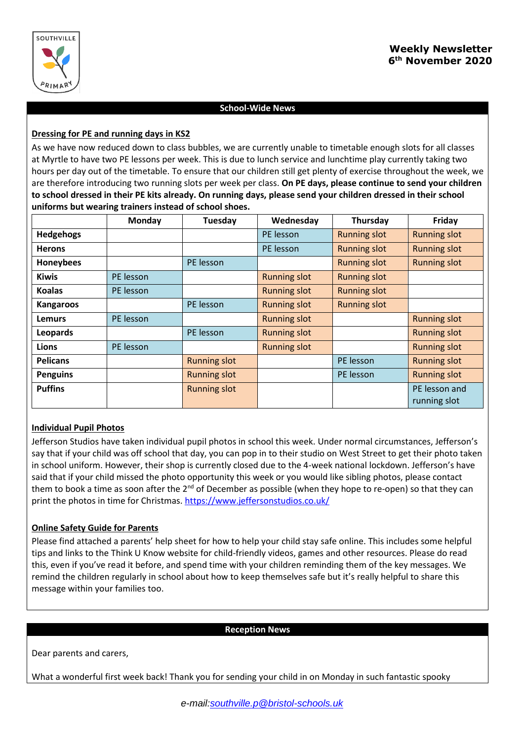

## **School-Wide News**

### **Dressing for PE and running days in KS2**

As we have now reduced down to class bubbles, we are currently unable to timetable enough slots for all classes at Myrtle to have two PE lessons per week. This is due to lunch service and lunchtime play currently taking two hours per day out of the timetable. To ensure that our children still get plenty of exercise throughout the week, we are therefore introducing two running slots per week per class. **On PE days, please continue to send your children to school dressed in their PE kits already. On running days, please send your children dressed in their school uniforms but wearing trainers instead of school shoes.** 

|                  | Monday    | Tuesday             | Wednesday           | Thursday            | Friday              |
|------------------|-----------|---------------------|---------------------|---------------------|---------------------|
| Hedgehogs        |           |                     | PE lesson           | <b>Running slot</b> | <b>Running slot</b> |
| <b>Herons</b>    |           |                     | PE lesson           | <b>Running slot</b> | <b>Running slot</b> |
| Honeybees        |           | PE lesson           |                     | <b>Running slot</b> | <b>Running slot</b> |
| <b>Kiwis</b>     | PE lesson |                     | <b>Running slot</b> | <b>Running slot</b> |                     |
| <b>Koalas</b>    | PE lesson |                     | <b>Running slot</b> | <b>Running slot</b> |                     |
| <b>Kangaroos</b> |           | PE lesson           | <b>Running slot</b> | <b>Running slot</b> |                     |
| <b>Lemurs</b>    | PE lesson |                     | <b>Running slot</b> |                     | <b>Running slot</b> |
| <b>Leopards</b>  |           | PE lesson           | <b>Running slot</b> |                     | <b>Running slot</b> |
| Lions            | PE lesson |                     | <b>Running slot</b> |                     | <b>Running slot</b> |
| <b>Pelicans</b>  |           | <b>Running slot</b> |                     | PE lesson           | <b>Running slot</b> |
| <b>Penguins</b>  |           | <b>Running slot</b> |                     | PE lesson           | <b>Running slot</b> |
| <b>Puffins</b>   |           | <b>Running slot</b> |                     |                     | PE lesson and       |
|                  |           |                     |                     |                     | running slot        |

#### **Individual Pupil Photos**

Jefferson Studios have taken individual pupil photos in school this week. Under normal circumstances, Jefferson's say that if your child was off school that day, you can pop in to their studio on West Street to get their photo taken in school uniform. However, their shop is currently closed due to the 4-week national lockdown. Jefferson's have said that if your child missed the photo opportunity this week or you would like sibling photos, please contact them to book a time as soon after the  $2^{nd}$  of December as possible (when they hope to re-open) so that they can print the photos in time for Christmas.<https://www.jeffersonstudios.co.uk/>

# **Online Safety Guide for Parents**

Please find attached a parents' help sheet for how to help your child stay safe online. This includes some helpful tips and links to the Think U Know website for child-friendly videos, games and other resources. Please do read this, even if you've read it before, and spend time with your children reminding them of the key messages. We remind the children regularly in school about how to keep themselves safe but it's really helpful to share this message within your families too.

**Reception News**

Dear parents and carers,

What a wonderful first week back! Thank you for sending your child in on Monday in such fantastic spooky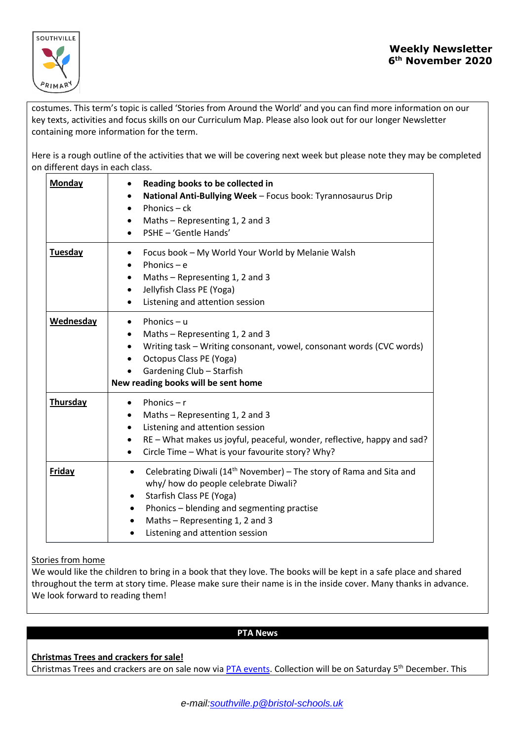

costumes. This term's topic is called 'Stories from Around the World' and you can find more information on our key texts, activities and focus skills on our Curriculum Map. Please also look out for our longer Newsletter containing more information for the term.

Here is a rough outline of the activities that we will be covering next week but please note they may be completed on different days in each class.

| <b>Monday</b>  | Reading books to be collected in<br>٠<br>National Anti-Bullying Week - Focus book: Tyrannosaurus Drip<br>Phonics $-$ ck<br>$\bullet$<br>Maths - Representing 1, 2 and 3<br>$\bullet$<br>PSHE - 'Gentle Hands'<br>$\bullet$                                                                                               |
|----------------|--------------------------------------------------------------------------------------------------------------------------------------------------------------------------------------------------------------------------------------------------------------------------------------------------------------------------|
| <b>Tuesday</b> | Focus book - My World Your World by Melanie Walsh<br>٠<br>Phonics $-e$<br>$\bullet$<br>Maths - Representing 1, 2 and 3<br>٠<br>Jellyfish Class PE (Yoga)<br>$\bullet$<br>Listening and attention session<br>$\bullet$                                                                                                    |
| Wednesday      | Phonics $- u$<br>Maths - Representing 1, 2 and 3<br>Writing task - Writing consonant, vowel, consonant words (CVC words)<br>$\bullet$<br>Octopus Class PE (Yoga)<br>Gardening Club - Starfish<br>New reading books will be sent home                                                                                     |
| Thursday       | Phonics $- r$<br>$\bullet$<br>Maths - Representing 1, 2 and 3<br>Listening and attention session<br>$\bullet$<br>RE - What makes us joyful, peaceful, wonder, reflective, happy and sad?<br>$\bullet$<br>Circle Time - What is your favourite story? Why?<br>$\bullet$                                                   |
| <b>Friday</b>  | Celebrating Diwali (14 <sup>th</sup> November) - The story of Rama and Sita and<br>$\bullet$<br>why/ how do people celebrate Diwali?<br>Starfish Class PE (Yoga)<br>٠<br>Phonics - blending and segmenting practise<br>$\bullet$<br>Maths - Representing 1, 2 and 3<br>٠<br>Listening and attention session<br>$\bullet$ |

#### Stories from home

We would like the children to bring in a book that they love. The books will be kept in a safe place and shared throughout the term at story time. Please make sure their name is in the inside cover. Many thanks in advance. We look forward to reading them!

#### **PTA News**

### **Christmas Trees and crackers for sale!**

Christmas Trees and crackers are on sale now via **PTA events**. Collection will be on Saturday 5<sup>th</sup> December. This